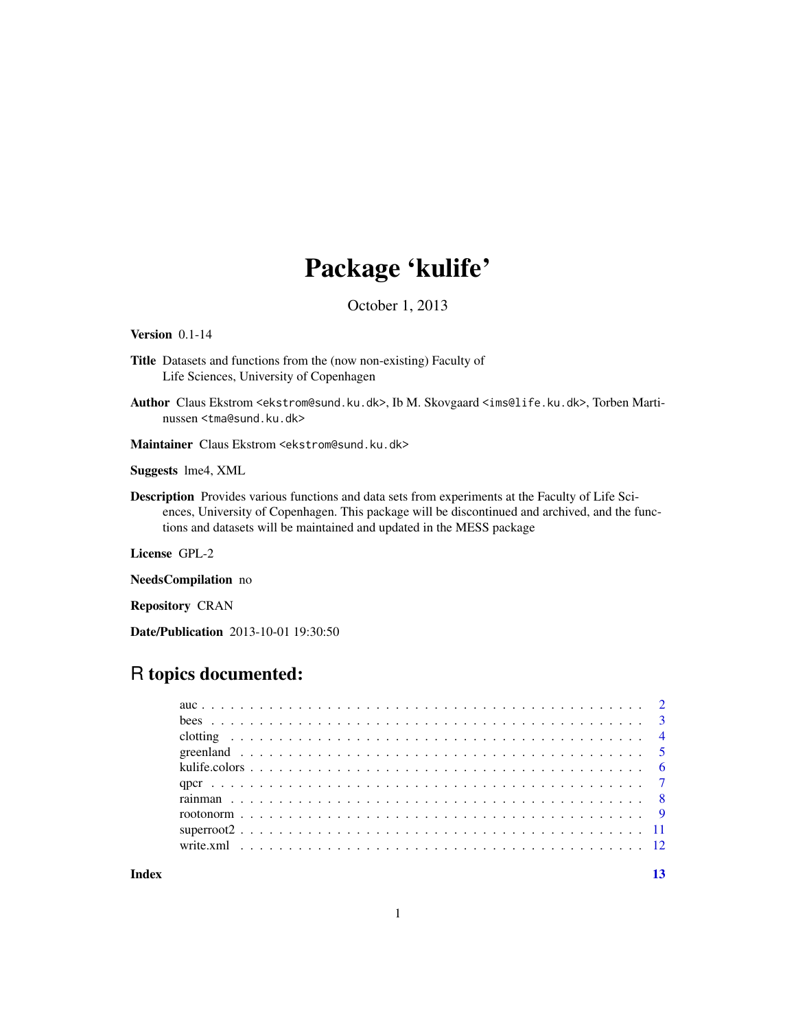# Package 'kulife'

October 1, 2013

<span id="page-0-0"></span>Version 0.1-14

- Title Datasets and functions from the (now non-existing) Faculty of Life Sciences, University of Copenhagen
- Author Claus Ekstrom <ekstrom@sund.ku.dk>, Ib M. Skovgaard <ims@life.ku.dk>, Torben Martinussen <tma@sund.ku.dk>

Maintainer Claus Ekstrom <ekstrom@sund.ku.dk>

Suggests lme4, XML

Description Provides various functions and data sets from experiments at the Faculty of Life Sciences, University of Copenhagen. This package will be discontinued and archived, and the functions and datasets will be maintained and updated in the MESS package

License GPL-2

NeedsCompilation no

Repository CRAN

Date/Publication 2013-10-01 19:30:50

# R topics documented:

**Index** [13](#page-12-0)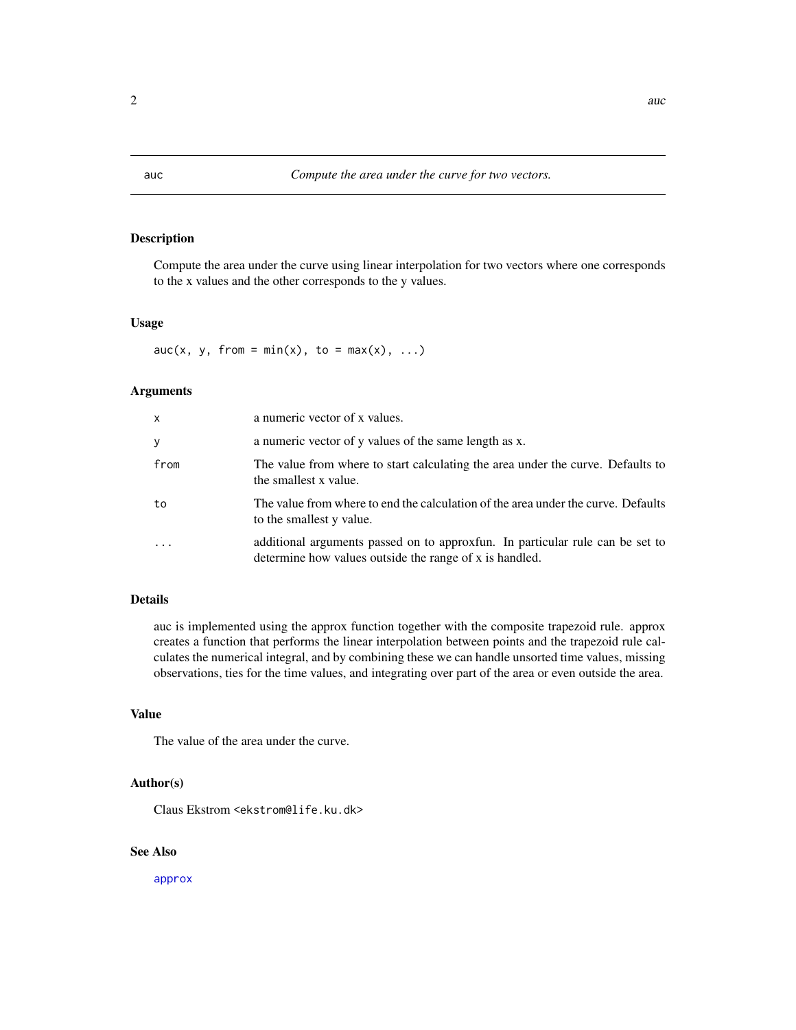Compute the area under the curve using linear interpolation for two vectors where one corresponds to the x values and the other corresponds to the y values.

#### Usage

 $auc(x, y, from = min(x), to = max(x), ...)$ 

#### Arguments

| x       | a numeric vector of x values.                                                                                                            |
|---------|------------------------------------------------------------------------------------------------------------------------------------------|
| У       | a numeric vector of y values of the same length as x.                                                                                    |
| from    | The value from where to start calculating the area under the curve. Defaults to<br>the smallest x value.                                 |
| to      | The value from where to end the calculation of the area under the curve. Defaults<br>to the smallest y value.                            |
| $\cdot$ | additional arguments passed on to approxfun. In particular rule can be set to<br>determine how values outside the range of x is handled. |

# Details

auc is implemented using the approx function together with the composite trapezoid rule. approx creates a function that performs the linear interpolation between points and the trapezoid rule calculates the numerical integral, and by combining these we can handle unsorted time values, missing observations, ties for the time values, and integrating over part of the area or even outside the area.

# Value

The value of the area under the curve.

#### Author(s)

Claus Ekstrom <ekstrom@life.ku.dk>

# See Also

[approx](#page-0-0)

<span id="page-1-0"></span>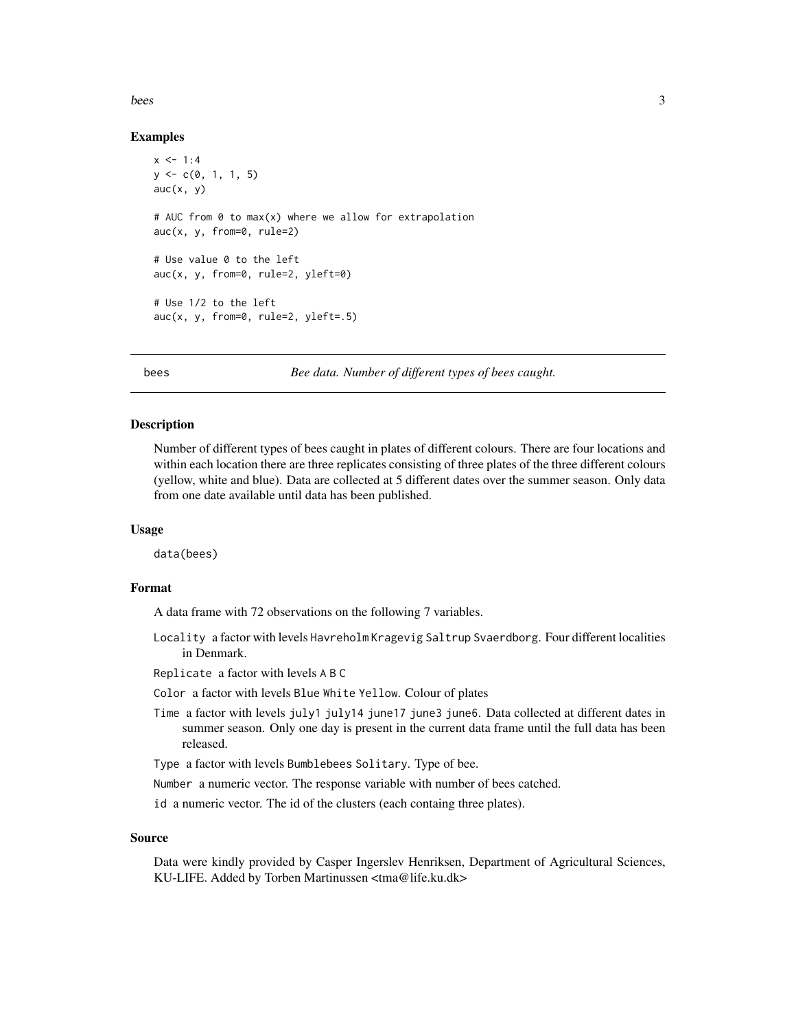#### <span id="page-2-0"></span>bees 3

# Examples

```
x < -1:4y \leq -c(0, 1, 1, 5)auc(x, y)# AUC from 0 to max(x) where we allow for extrapolation
auc(x, y, from=0, rule=2)
# Use value 0 to the left
auc(x, y, from=0, rule=2, yleft=0)
# Use 1/2 to the left
auc(x, y, from=0, rule=2, yleft=.5)
```
bees *Bee data. Number of different types of bees caught.*

# Description

Number of different types of bees caught in plates of different colours. There are four locations and within each location there are three replicates consisting of three plates of the three different colours (yellow, white and blue). Data are collected at 5 different dates over the summer season. Only data from one date available until data has been published.

#### Usage

data(bees)

# Format

A data frame with 72 observations on the following 7 variables.

- Locality a factor with levels Havreholm Kragevig Saltrup Svaerdborg. Four different localities in Denmark.
- Replicate a factor with levels A B C
- Color a factor with levels Blue White Yellow. Colour of plates
- Time a factor with levels july1 july14 june17 june3 june6. Data collected at different dates in summer season. Only one day is present in the current data frame until the full data has been released.
- Type a factor with levels Bumblebees Solitary. Type of bee.
- Number a numeric vector. The response variable with number of bees catched.
- id a numeric vector. The id of the clusters (each containg three plates).

# Source

Data were kindly provided by Casper Ingerslev Henriksen, Department of Agricultural Sciences, KU-LIFE. Added by Torben Martinussen <tma@life.ku.dk>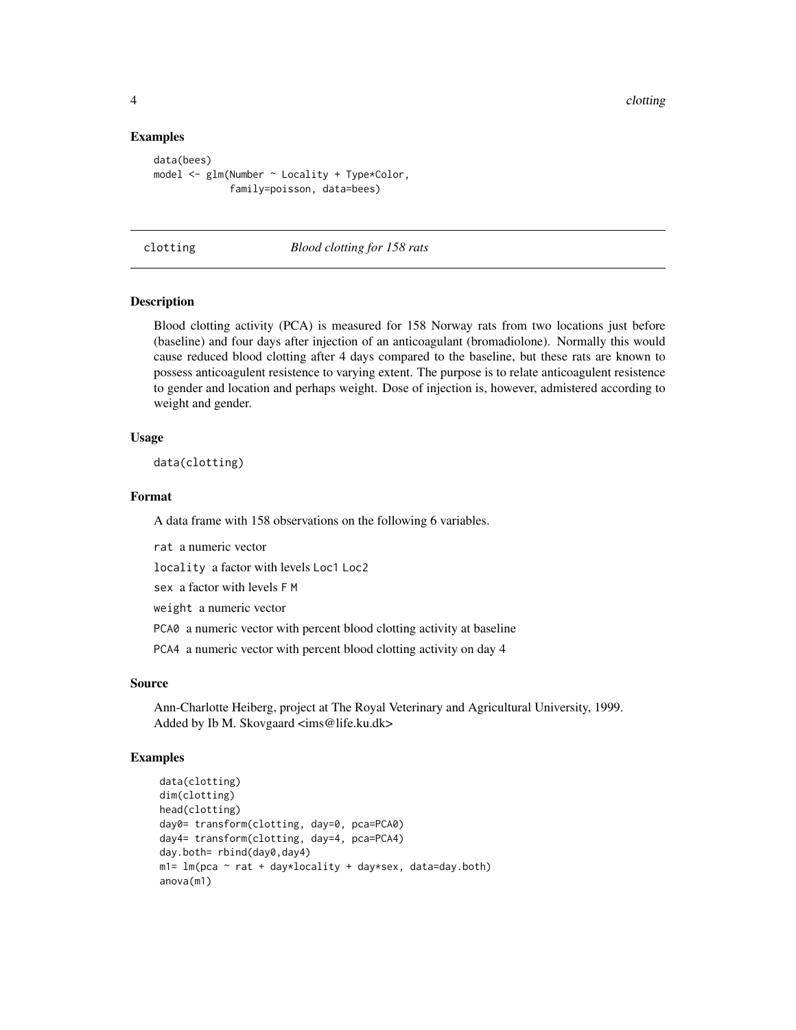# Examples

```
data(bees)
model <- glm(Number ~ Locality + Type*Color,
             family=poisson, data=bees)
```
clotting *Blood clotting for 158 rats*

# Description

Blood clotting activity (PCA) is measured for 158 Norway rats from two locations just before (baseline) and four days after injection of an anticoagulant (bromadiolone). Normally this would cause reduced blood clotting after 4 days compared to the baseline, but these rats are known to possess anticoagulent resistence to varying extent. The purpose is to relate anticoagulent resistence to gender and location and perhaps weight. Dose of injection is, however, admistered according to weight and gender.

# Usage

data(clotting)

#### Format

A data frame with 158 observations on the following 6 variables.

rat a numeric vector

locality a factor with levels Loc1 Loc2

sex a factor with levels F M

weight a numeric vector

PCA0 a numeric vector with percent blood clotting activity at baseline

PCA4 a numeric vector with percent blood clotting activity on day 4

# Source

Ann-Charlotte Heiberg, project at The Royal Veterinary and Agricultural University, 1999. Added by Ib M. Skovgaard <ims@life.ku.dk>

```
data(clotting)
dim(clotting)
head(clotting)
day0= transform(clotting, day=0, pca=PCA0)
day4= transform(clotting, day=4, pca=PCA4)
day.both= rbind(day0,day4)
m1 = Im(pca ~ rat + day*locality + day*sex, data=day.both)anova(m1)
```
<span id="page-3-0"></span>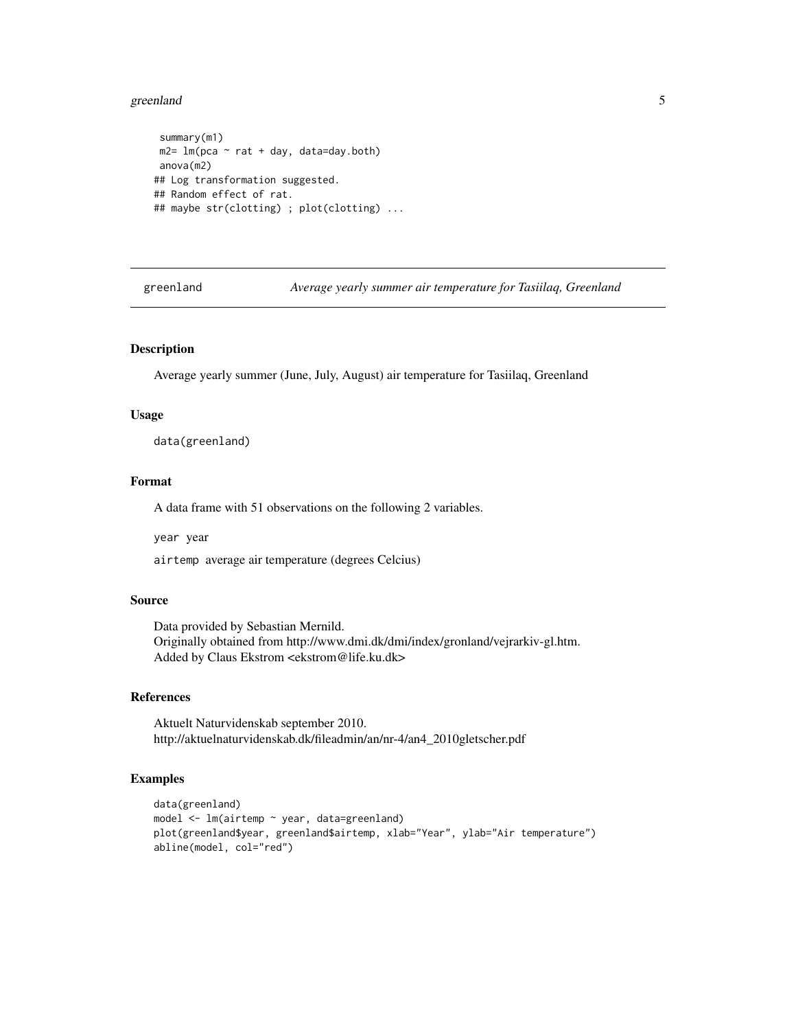#### <span id="page-4-0"></span>greenland 5

```
summary(m1)
m2= lm(pca \sim rat + day, data=day.both)
anova(m2)
## Log transformation suggested.
## Random effect of rat.
## maybe str(clotting) ; plot(clotting) ...
```
greenland *Average yearly summer air temperature for Tasiilaq, Greenland*

# Description

Average yearly summer (June, July, August) air temperature for Tasiilaq, Greenland

#### Usage

data(greenland)

# Format

A data frame with 51 observations on the following 2 variables.

year year

airtemp average air temperature (degrees Celcius)

# Source

Data provided by Sebastian Mernild. Originally obtained from http://www.dmi.dk/dmi/index/gronland/vejrarkiv-gl.htm. Added by Claus Ekstrom <ekstrom@life.ku.dk>

# References

Aktuelt Naturvidenskab september 2010. http://aktuelnaturvidenskab.dk/fileadmin/an/nr-4/an4\_2010gletscher.pdf

```
data(greenland)
model <- lm(airtemp ~ year, data=greenland)
plot(greenland$year, greenland$airtemp, xlab="Year", ylab="Air temperature")
abline(model, col="red")
```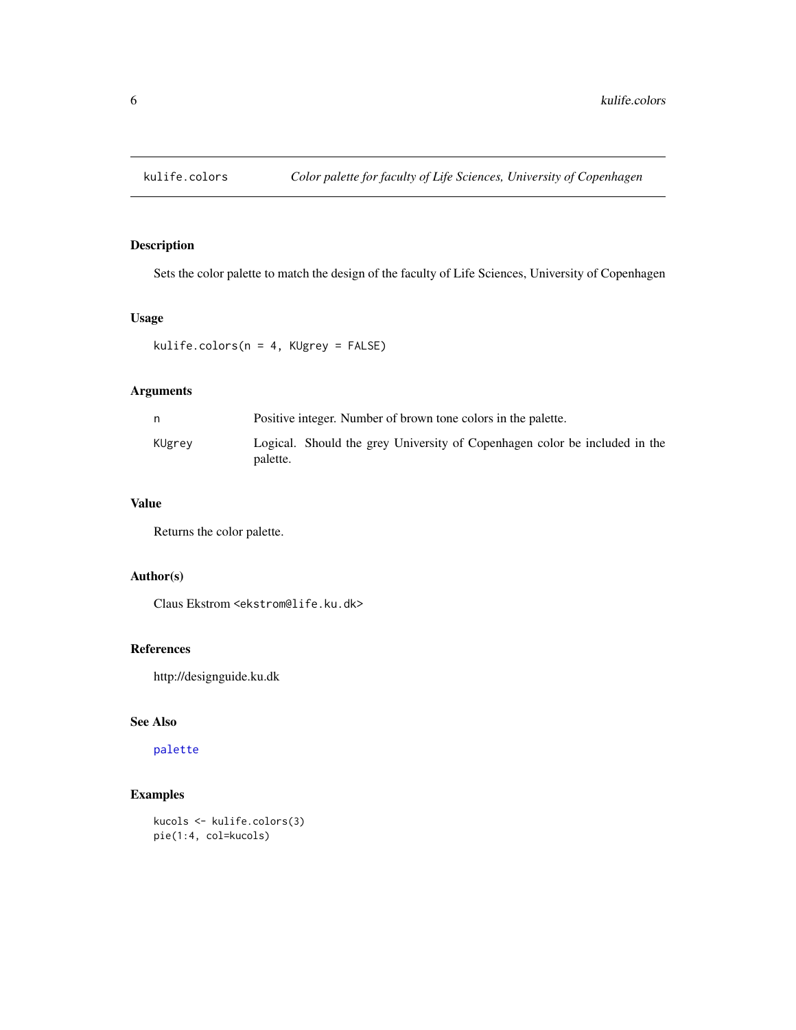<span id="page-5-0"></span>

Sets the color palette to match the design of the faculty of Life Sciences, University of Copenhagen

# Usage

```
kulife.colors(n = 4, KUgrey = FALSE)
```
# Arguments

| n      | Positive integer. Number of brown tone colors in the palette.                          |  |  |
|--------|----------------------------------------------------------------------------------------|--|--|
| KUgrev | Logical. Should the grey University of Copenhagen color be included in the<br>palette. |  |  |

# Value

Returns the color palette.

# Author(s)

Claus Ekstrom <ekstrom@life.ku.dk>

# References

http://designguide.ku.dk

# See Also

# [palette](#page-0-0)

```
kucols <- kulife.colors(3)
pie(1:4, col=kucols)
```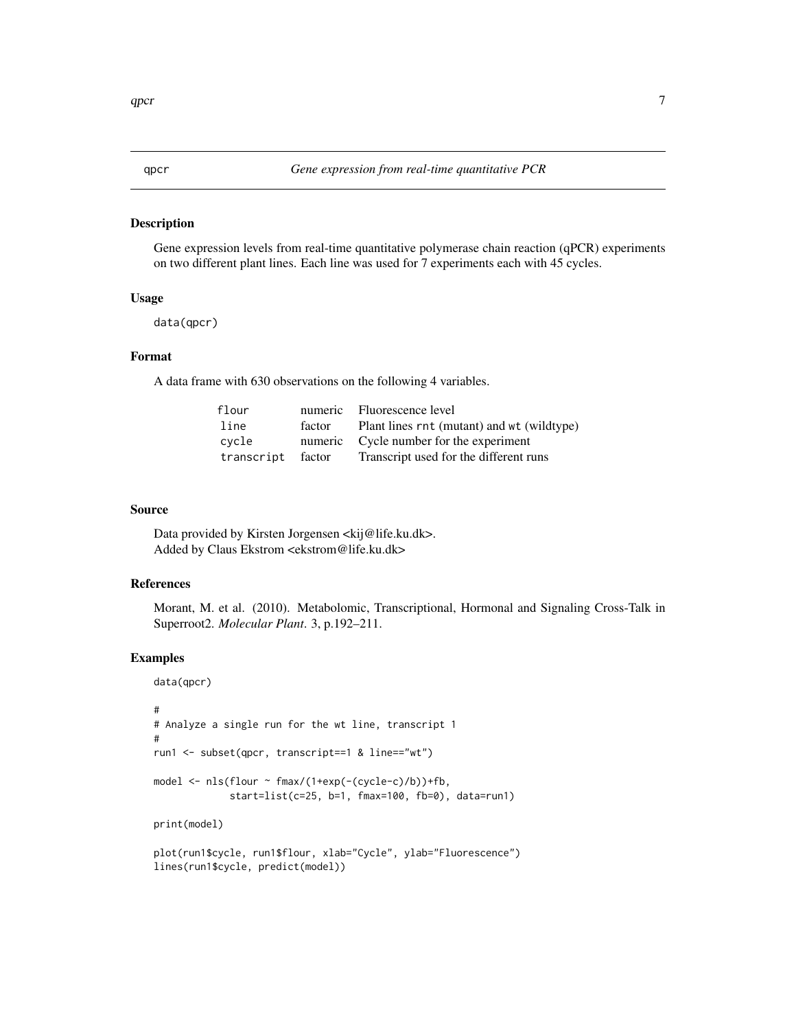<span id="page-6-0"></span>Gene expression levels from real-time quantitative polymerase chain reaction (qPCR) experiments on two different plant lines. Each line was used for 7 experiments each with 45 cycles.

# Usage

data(qpcr)

# Format

A data frame with 630 observations on the following 4 variables.

| flour             |        | numeric Fluorescence level                 |
|-------------------|--------|--------------------------------------------|
| line              | factor | Plant lines rnt (mutant) and wt (wildtype) |
| cvcle             |        | numeric Cycle number for the experiment    |
| transcript factor |        | Transcript used for the different runs     |

#### Source

Data provided by Kirsten Jorgensen <kij@life.ku.dk>. Added by Claus Ekstrom <ekstrom@life.ku.dk>

# References

Morant, M. et al. (2010). Metabolomic, Transcriptional, Hormonal and Signaling Cross-Talk in Superroot2. *Molecular Plant*. 3, p.192–211.

```
data(qpcr)
#
# Analyze a single run for the wt line, transcript 1
#
run1 <- subset(qpcr, transcript==1 & line=="wt")
model <- nls(flour ~ fmax/(1+exp(-(cycle-c)/b))+fb,
             start=list(c=25, b=1, fmax=100, fb=0), data=run1)
print(model)
plot(run1$cycle, run1$flour, xlab="Cycle", ylab="Fluorescence")
lines(run1$cycle, predict(model))
```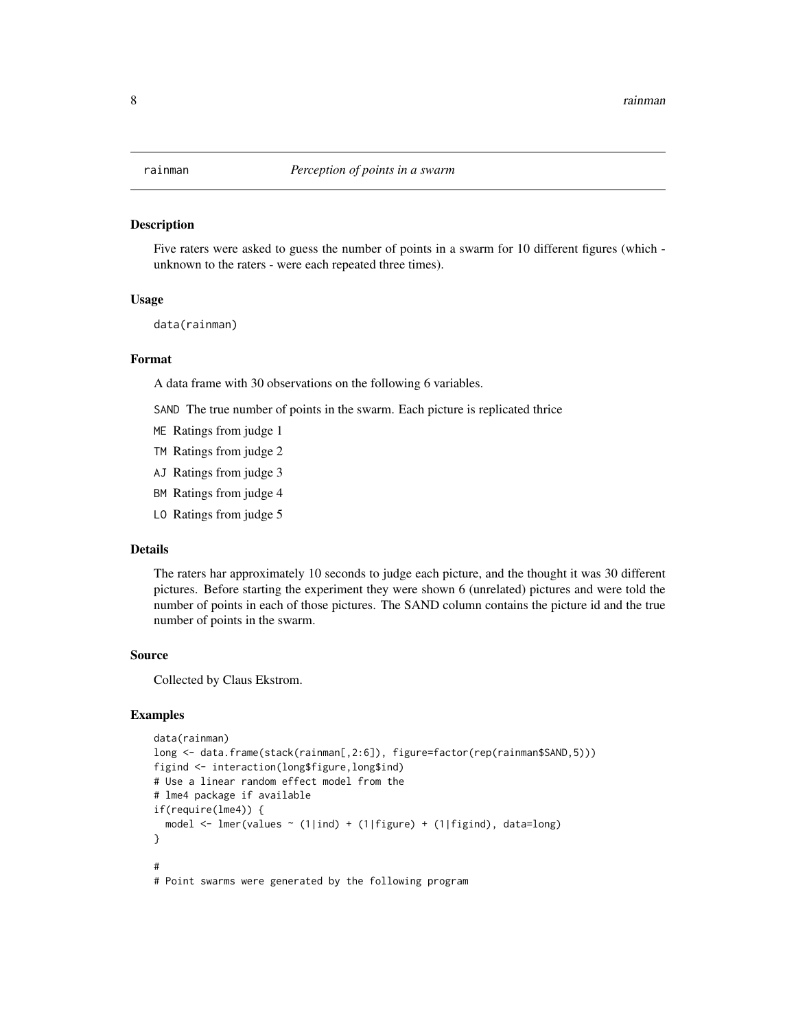<span id="page-7-0"></span>

Five raters were asked to guess the number of points in a swarm for 10 different figures (which unknown to the raters - were each repeated three times).

#### Usage

data(rainman)

# Format

A data frame with 30 observations on the following 6 variables.

SAND The true number of points in the swarm. Each picture is replicated thrice

- ME Ratings from judge 1
- TM Ratings from judge 2
- AJ Ratings from judge 3
- BM Ratings from judge 4
- LO Ratings from judge 5

# Details

The raters har approximately 10 seconds to judge each picture, and the thought it was 30 different pictures. Before starting the experiment they were shown 6 (unrelated) pictures and were told the number of points in each of those pictures. The SAND column contains the picture id and the true number of points in the swarm.

#### Source

Collected by Claus Ekstrom.

```
data(rainman)
long <- data.frame(stack(rainman[,2:6]), figure=factor(rep(rainman$SAND,5)))
figind <- interaction(long$figure,long$ind)
# Use a linear random effect model from the
# lme4 package if available
if(require(lme4)) {
 model <- lmer(values ~ (1|ind) + (1|figure) + (1|figind), data=long)
}
#
# Point swarms were generated by the following program
```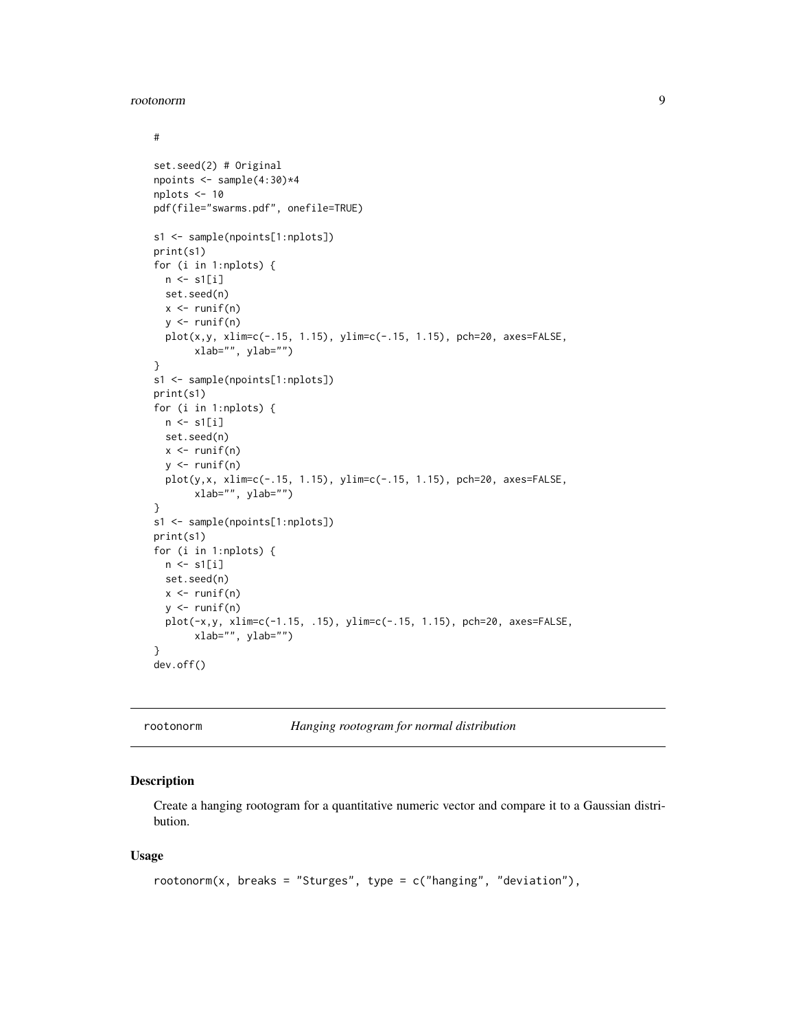#### <span id="page-8-0"></span>rootonorm and the set of the set of the set of the set of the set of the set of the set of the set of the set of the set of the set of the set of the set of the set of the set of the set of the set of the set of the set of

```
#
set.seed(2) # Original
npoints \leq sample(4:30)*4
nplots <- 10
pdf(file="swarms.pdf", onefile=TRUE)
s1 <- sample(npoints[1:nplots])
print(s1)
for (i in 1:nplots) {
  n \leftarrow s1[i]set.seed(n)
  x \leftarrow runif(n)y \leftarrow runif(n)plot(x,y, xlim=c(-.15, 1.15), ylim=c(-.15, 1.15), pch=20, axes=FALSE,
       xlab="", ylab="")
}
s1 <- sample(npoints[1:nplots])
print(s1)
for (i in 1:nplots) {
 n \leftarrow s1[i]set.seed(n)
 x \leftarrow runif(n)y \leftarrow runif(n)plot(y,x, xlim=c(-.15, 1.15), ylim=c(-.15, 1.15), pch=20, axes=FALSE,
       xlab="", ylab="")
}
s1 <- sample(npoints[1:nplots])
print(s1)
for (i in 1:nplots) {
 n \leftarrow s1[i]set.seed(n)
  x \leftarrow runif(n)y \leftarrow runif(n)plot(-x,y, xlim=c(-1.15, .15), ylim=c(-.15, 1.15), pch=20, axes=FALSE,
       xlab="", ylab="")
}
dev.off()
```
rootonorm *Hanging rootogram for normal distribution*

# Description

Create a hanging rootogram for a quantitative numeric vector and compare it to a Gaussian distribution.

# Usage

```
rootonorm(x, breaks = "Sturges", type = c("hanging", "deviation"),
```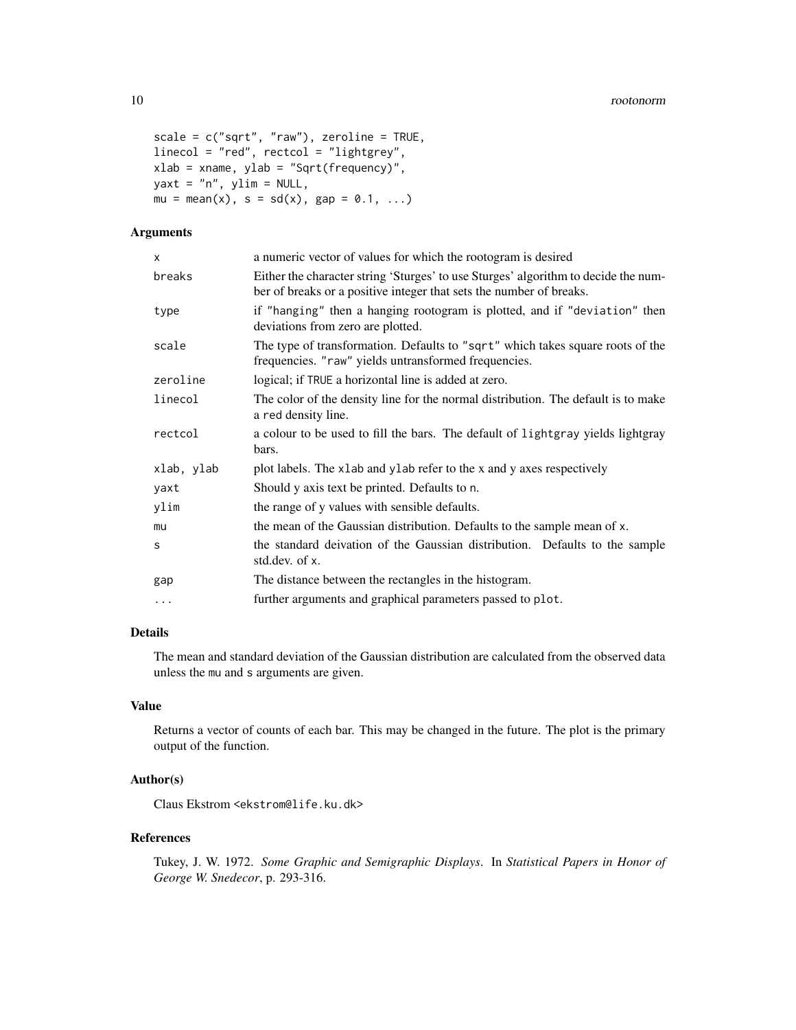```
scale = c("sqrt", "raw"), zeroline = TRUE,
linecol = "red", rectcol = "lightgrey",
xlab = xname, ylab = "Sqrt(frequency)",
yaxt = "n", ylim = NULL,mu = mean(x), s = sd(x), gap = 0.1, ...
```
# Arguments

| a numeric vector of values for which the rootogram is desired                                                                                             |  |  |
|-----------------------------------------------------------------------------------------------------------------------------------------------------------|--|--|
| Either the character string 'Sturges' to use Sturges' algorithm to decide the num-<br>ber of breaks or a positive integer that sets the number of breaks. |  |  |
| if "hanging" then a hanging rootogram is plotted, and if "deviation" then<br>deviations from zero are plotted.                                            |  |  |
| The type of transformation. Defaults to "sqrt" which takes square roots of the<br>frequencies. "raw" yields untransformed frequencies.                    |  |  |
| logical; if TRUE a horizontal line is added at zero.                                                                                                      |  |  |
| The color of the density line for the normal distribution. The default is to make<br>a red density line.                                                  |  |  |
| a colour to be used to fill the bars. The default of lightgray yields lightgray<br>bars.                                                                  |  |  |
| plot labels. The x1ab and y1ab refer to the x and y axes respectively                                                                                     |  |  |
| Should y axis text be printed. Defaults to n.                                                                                                             |  |  |
| the range of y values with sensible defaults.                                                                                                             |  |  |
| the mean of the Gaussian distribution. Defaults to the sample mean of x.                                                                                  |  |  |
| the standard deivation of the Gaussian distribution. Defaults to the sample<br>std.dev. of x.                                                             |  |  |
| The distance between the rectangles in the histogram.                                                                                                     |  |  |
| further arguments and graphical parameters passed to plot.                                                                                                |  |  |
|                                                                                                                                                           |  |  |

# Details

The mean and standard deviation of the Gaussian distribution are calculated from the observed data unless the mu and s arguments are given.

# Value

Returns a vector of counts of each bar. This may be changed in the future. The plot is the primary output of the function.

# Author(s)

Claus Ekstrom <ekstrom@life.ku.dk>

# References

Tukey, J. W. 1972. *Some Graphic and Semigraphic Displays*. In *Statistical Papers in Honor of George W. Snedecor*, p. 293-316.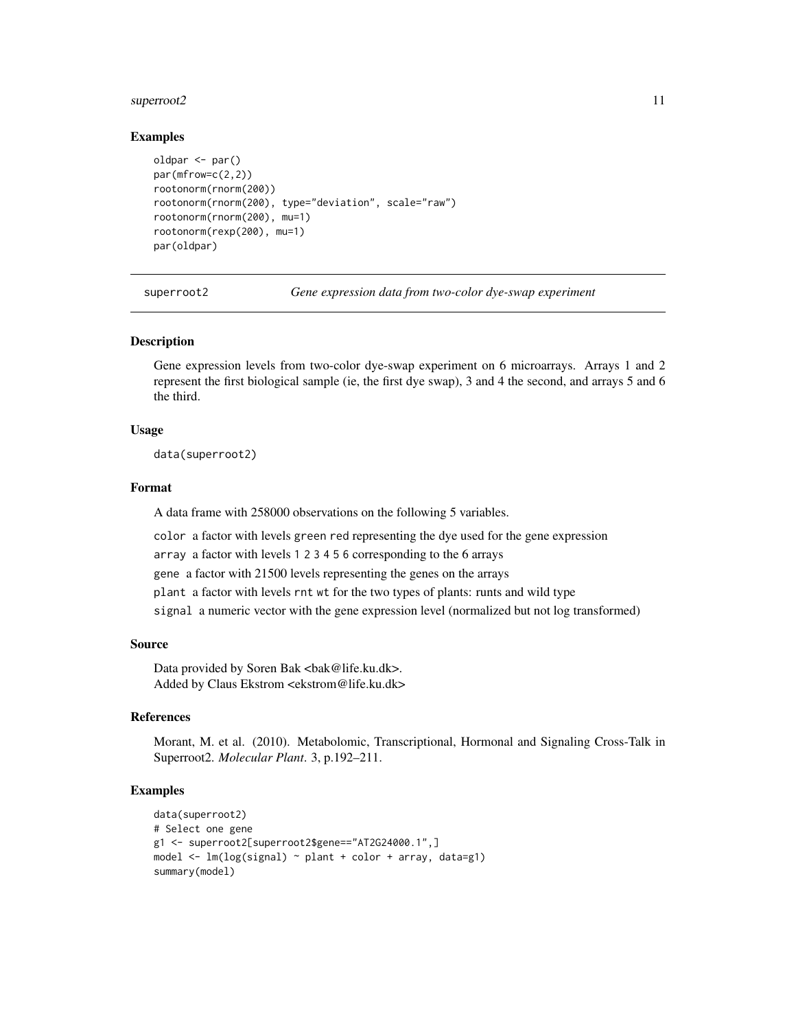# <span id="page-10-0"></span>superroot2 11

# Examples

```
oldpar <- par()
par(mfrow=c(2,2))
rootonorm(rnorm(200))
rootonorm(rnorm(200), type="deviation", scale="raw")
rootonorm(rnorm(200), mu=1)
rootonorm(rexp(200), mu=1)
par(oldpar)
```
superroot2 *Gene expression data from two-color dye-swap experiment*

# Description

Gene expression levels from two-color dye-swap experiment on 6 microarrays. Arrays 1 and 2 represent the first biological sample (ie, the first dye swap), 3 and 4 the second, and arrays 5 and 6 the third.

# Usage

data(superroot2)

# Format

A data frame with 258000 observations on the following 5 variables.

color a factor with levels green red representing the dye used for the gene expression

array a factor with levels 1 2 3 4 5 6 corresponding to the 6 arrays

gene a factor with 21500 levels representing the genes on the arrays

plant a factor with levels rnt wt for the two types of plants: runts and wild type

signal a numeric vector with the gene expression level (normalized but not log transformed)

# Source

Data provided by Soren Bak <br/>bak@life.ku.dk>. Added by Claus Ekstrom <ekstrom@life.ku.dk>

# References

Morant, M. et al. (2010). Metabolomic, Transcriptional, Hormonal and Signaling Cross-Talk in Superroot2. *Molecular Plant*. 3, p.192–211.

```
data(superroot2)
# Select one gene
g1 <- superroot2[superroot2$gene=="AT2G24000.1",]
model <- lm(log(signal) ~ plant + color + array, data=g1)
summary(model)
```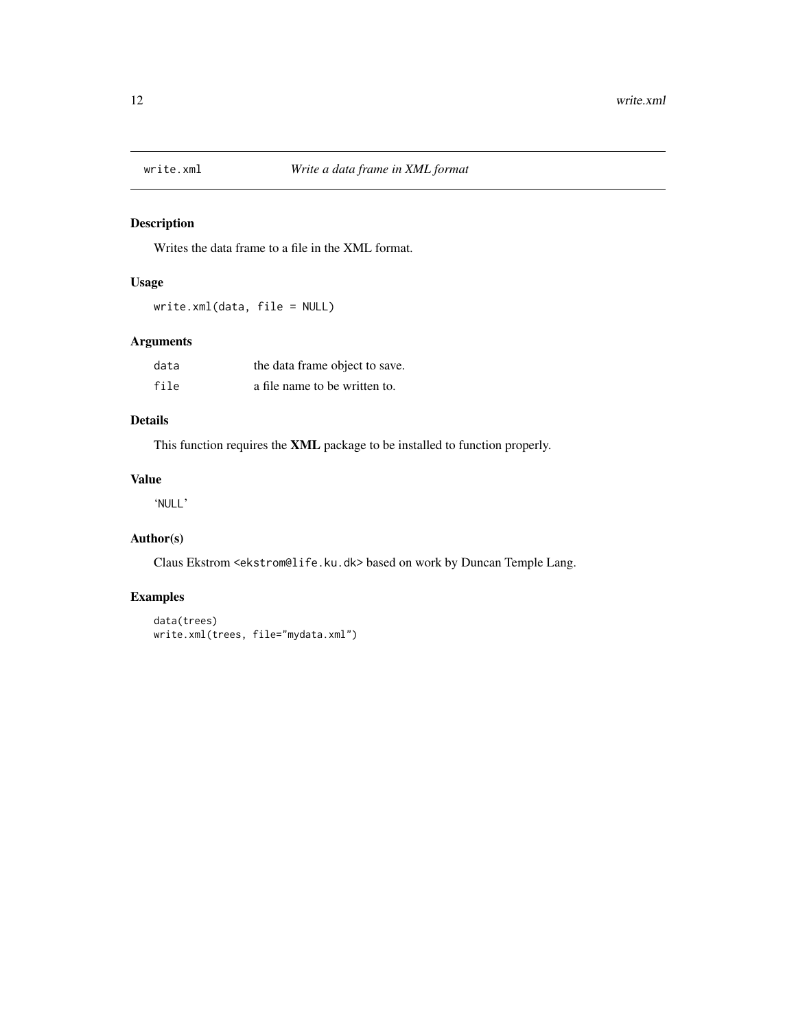<span id="page-11-0"></span>

Writes the data frame to a file in the XML format.

# Usage

write.xml(data, file = NULL)

# Arguments

| data | the data frame object to save. |
|------|--------------------------------|
| file | a file name to be written to.  |

# Details

This function requires the XML package to be installed to function properly.

# Value

'NULL'

# Author(s)

Claus Ekstrom <ekstrom@life.ku.dk> based on work by Duncan Temple Lang.

```
data(trees)
write.xml(trees, file="mydata.xml")
```